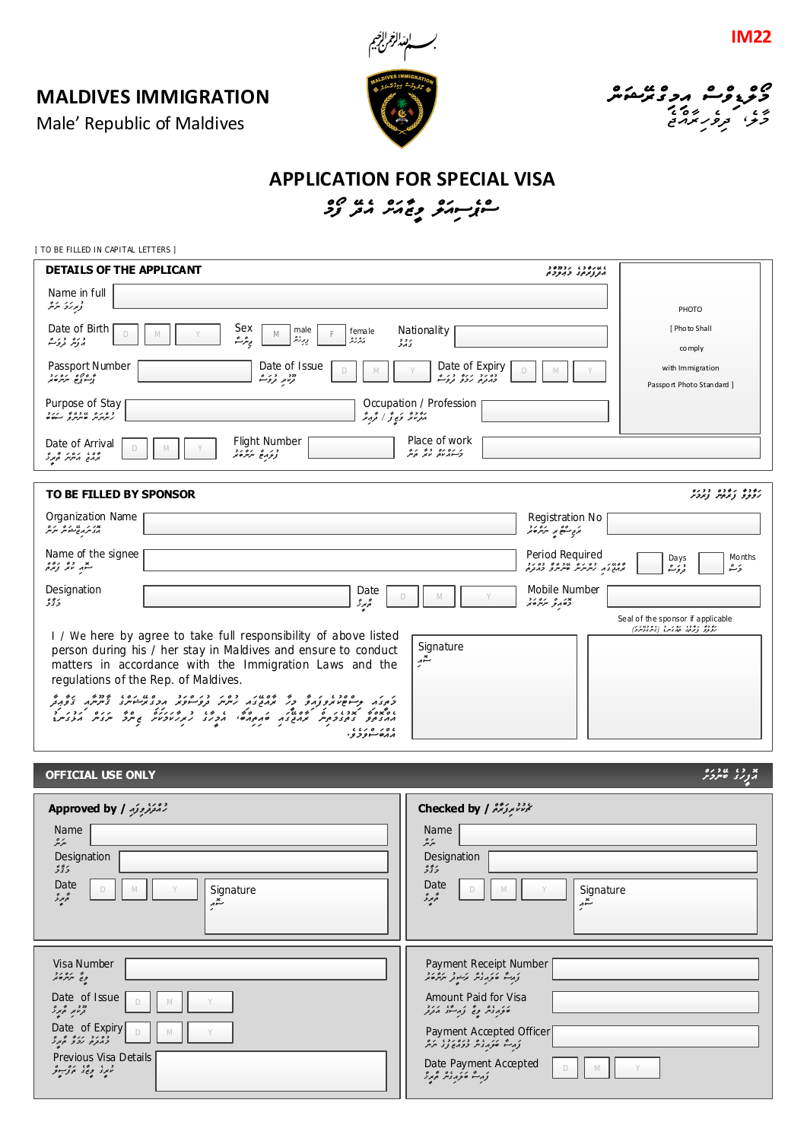**MALDIVES IMMIGRATION**







## **APPLICATION FOR SPECIAL VISA** ه د در د و د ده د ده ده.<br>سن<sub>گر</sub>سهتر و باید از زو

[ TO BE FILLED IN CAPITAL LETTERS ]

| DETAILS OF THE APPLICANT                                        |                                                                                                                                                                                                                                                                                                                                                                                                                                          | つそのコノ しつぞノはし<br>متروبر دد دبرده                                                                                 |
|-----------------------------------------------------------------|------------------------------------------------------------------------------------------------------------------------------------------------------------------------------------------------------------------------------------------------------------------------------------------------------------------------------------------------------------------------------------------------------------------------------------------|-----------------------------------------------------------------------------------------------------------------|
| Name in full<br>توبرزۇ ئىرتىر                                   |                                                                                                                                                                                                                                                                                                                                                                                                                                          | PHOTO                                                                                                           |
| Date of Birth<br>$\Box$<br>د ره د ره                            | Sex<br>Nationality<br>male<br>female<br>M<br>پىر شە<br>وبرزيثر<br>برورو<br>ر د د<br>کارگ                                                                                                                                                                                                                                                                                                                                                 | [ Photo Shall<br>co mply                                                                                        |
| Passport Number<br>و وړه 'ره رد                                 | Date of Issue<br>Date of Expiry<br>دە زەر زىرە دىر ھ<br>ددد د د کور ه<br>تر مور ته د کور شو                                                                                                                                                                                                                                                                                                                                              | with Immigration<br>Passport Photo Standard ]                                                                   |
| Purpose of Stay<br>دەرە مەدەبە رىرد                             | Occupation / Profession<br>بۇرۇ ئۇ ئۇ ئەق                                                                                                                                                                                                                                                                                                                                                                                                |                                                                                                                 |
| Date of Arrival<br>ده به روبر در د                              | Place of work<br>Flight Number<br>د ره ره دو ره<br>دره پژوند                                                                                                                                                                                                                                                                                                                                                                             |                                                                                                                 |
| TO BE FILLED BY SPONSOR                                         |                                                                                                                                                                                                                                                                                                                                                                                                                                          | ניני נינים בבנס<br>נפק <i>פ צינית ציב</i> ת                                                                     |
| Organization Name<br>بدر بر بن در مرکز<br>مرد سرمایح مشکور سرکر |                                                                                                                                                                                                                                                                                                                                                                                                                                          | Registration No<br>بمربي تنقيح ببر المركوب و                                                                    |
| Name of the signee<br>تتمهر انگر زیره <sub>و</sub>              |                                                                                                                                                                                                                                                                                                                                                                                                                                          | Period Required<br>Months<br>Da ys<br>מסטי, כסים שכסמי כסיב<br>הנמש בה קיתיתית שיתית פ בהבקים<br>د ئر ھ<br>رَبْ |
| Designation<br>خۇۋ                                              | Date<br>محمور<br>D                                                                                                                                                                                                                                                                                                                                                                                                                       | Mobile Number<br>צו ם וסוד<br>כסוק ייציינים                                                                     |
| regulations of the Rep. of Maldives.                            | I / We here by agree to take full responsibility of above listed<br>Signature<br>person during his / her stay in Maldives and ensure to conduct<br>$\sum_{i=1}^{n}$<br>matters in accordance with the Immigration Laws and the<br>د در در ۱۵۵۵ در ۱۵ در ۱۵۵۶ در ۲۰۵۶ در ۲۵۵۵ در ۲۵۵ در در در ۲۵۵ در در ۲۵۵ در در ۲۵۵۵ در در ۲۵۵۵ در در ۲۵۵۵ در ۲<br>וסיבסים הבריות על הסמיל הקבל הקבל לא והואל ביותר ולא הואלילים<br>1100000<br>مدەسىورو | Seal of the sponsor if applicable<br>رودو رود، پورس (پودیدر)                                                    |

## **OFFICIAL USE ONLY**

|             | 0/2U(1)X |
|-------------|----------|
|             |          |
| הצנג סיינדי |          |

| <i>Sapproved by   راه توفرو و تو</i> ر          | Checked by / تَسْتَعْتَبَرْتُرْتُمْ ( Checked by                                                                                                                                                                                                                                                                                                                                                                                                                                                                               |
|-------------------------------------------------|--------------------------------------------------------------------------------------------------------------------------------------------------------------------------------------------------------------------------------------------------------------------------------------------------------------------------------------------------------------------------------------------------------------------------------------------------------------------------------------------------------------------------------|
| Name<br>سرمر                                    | Name<br>سرمر                                                                                                                                                                                                                                                                                                                                                                                                                                                                                                                   |
| Designation                                     | Designation                                                                                                                                                                                                                                                                                                                                                                                                                                                                                                                    |
| 335<br>Date<br>Signature<br>ەپرى<br>$\tilde{z}$ | 335<br>Date<br>Signature<br>D<br>ەپرىر<br>تتهر<br>$\overline{\phantom{a}}$                                                                                                                                                                                                                                                                                                                                                                                                                                                     |
| Visa Number<br>פ ב' יינייק ש' גם                | Payment Receipt Number<br>وَرَسَمٌ فَوَرَدُوْسٌ مَرَسُوتُر سَرَسُرْفَتُمْ                                                                                                                                                                                                                                                                                                                                                                                                                                                      |
| Date of Issue<br>D<br>M<br>מי היה היה ה         | Amount Paid for Visa<br>فورديمر وتج ورسنق مدرد                                                                                                                                                                                                                                                                                                                                                                                                                                                                                 |
| Date of Expiry<br>לי גם נבים ה <sub>ביל</sub>   | Payment Accepted Officer<br>$\begin{array}{c} \mathcal{L}_{\mathcal{A}}(\mathcal{L}_{\mathcal{A}}(\mathcal{L}_{\mathcal{A}}(\mathcal{L}_{\mathcal{A}}(\mathcal{L}_{\mathcal{A}}(\mathcal{L}_{\mathcal{A}}(\mathcal{L}_{\mathcal{A}}(\mathcal{L}_{\mathcal{A}}(\mathcal{L}_{\mathcal{A}}(\mathcal{L}_{\mathcal{A}}))))\mathcal{L}_{\mathcal{A}}(\mathcal{L}_{\mathcal{A}}(\mathcal{L}_{\mathcal{A}}(\mathcal{L}_{\mathcal{A}}(\mathcal{L}_{\mathcal{A}}(\mathcal{L}_{\mathcal{A}}(\mathcal{L}_{\mathcal{A}}(\mathcal{L}_{\math$ |
| Previous Visa Details<br>در، وی ورژبو           | Date Payment Accepted<br>D<br>M                                                                                                                                                                                                                                                                                                                                                                                                                                                                                                |